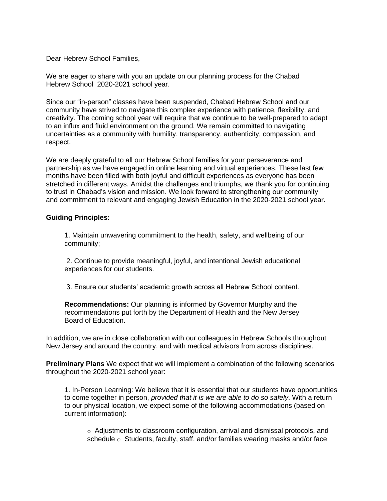Dear Hebrew School Families,

We are eager to share with you an update on our planning process for the Chabad Hebrew School 2020-2021 school year.

Since our "in-person" classes have been suspended, Chabad Hebrew School and our community have strived to navigate this complex experience with patience, flexibility, and creativity. The coming school year will require that we continue to be well-prepared to adapt to an influx and fluid environment on the ground. We remain committed to navigating uncertainties as a community with humility, transparency, authenticity, compassion, and respect.

We are deeply grateful to all our Hebrew School families for your perseverance and partnership as we have engaged in online learning and virtual experiences. These last few months have been filled with both joyful and difficult experiences as everyone has been stretched in different ways. Amidst the challenges and triumphs, we thank you for continuing to trust in Chabad's vision and mission. We look forward to strengthening our community and commitment to relevant and engaging Jewish Education in the 2020-2021 school year.

## **Guiding Principles:**

1. Maintain unwavering commitment to the health, safety, and wellbeing of our community;

2. Continue to provide meaningful, joyful, and intentional Jewish educational experiences for our students.

3. Ensure our students' academic growth across all Hebrew School content.

**Recommendations:** Our planning is informed by Governor Murphy and the recommendations put forth by the Department of Health and the New Jersey Board of Education.

In addition, we are in close collaboration with our colleagues in Hebrew Schools throughout New Jersey and around the country, and with medical advisors from across disciplines.

**Preliminary Plans** We expect that we will implement a combination of the following scenarios throughout the 2020-2021 school year:

1. In-Person Learning: We believe that it is essential that our students have opportunities to come together in person, *provided that it is we are able to do so safely*. With a return to our physical location, we expect some of the following accommodations (based on current information):

 $\circ$  Adjustments to classroom configuration, arrival and dismissal protocols, and schedule o Students, faculty, staff, and/or families wearing masks and/or face